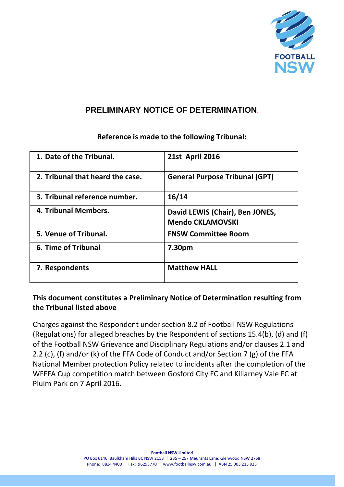

## **PRELIMINARY NOTICE OF DETERMINATION**.

# **1. Date of the Tribunal. 21st April 2016 2. Tribunal that heard the case. General Purpose Tribunal (GPT) 3. Tribunal reference number. 16/14 4. Tribunal Members. David LEWIS (Chair), Ben JONES, Mendo CKLAMOVSKI 5. Venue of Tribunal. FNSW Committee Room 6. Time of Tribunal 7.30pm 7.** Respondents **Matthew HALL**

## **Reference is made to the following Tribunal:**

## **This document constitutes a Preliminary Notice of Determination resulting from the Tribunal listed above**

Charges against the Respondent under section 8.2 of Football NSW Regulations (Regulations) for alleged breaches by the Respondent of sections 15.4(b), (d) and (f) of the Football NSW Grievance and Disciplinary Regulations and/or clauses 2.1 and 2.2 (c), (f) and/or (k) of the FFA Code of Conduct and/or Section 7 (g) of the FFA National Member protection Policy related to incidents after the completion of the WFFFA Cup competition match between Gosford City FC and Killarney Vale FC at Pluim Park on 7 April 2016.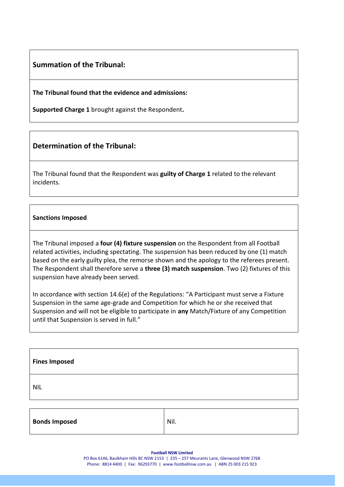#### **Summation of the Tribunal:**

**The Tribunal found that the evidence and admissions:**

**Supported Charge 1** brought against the Respondent**.**

### **Determination of the Tribunal:**

The Tribunal found that the Respondent was **guilty of Charge 1** related to the relevant incidents.

#### **Sanctions Imposed**

The Tribunal imposed a **four (4) fixture suspension** on the Respondent from all Football related activities, including spectating. The suspension has been reduced by one (1) match based on the early guilty plea, the remorse shown and the apology to the referees present. The Respondent shall therefore serve a **three (3) match suspension**. Two (2) fixtures of this suspension have already been served.

In accordance with section 14.6(e) of the Regulations: "A Participant must serve a Fixture Suspension in the same age-grade and Competition for which he or she received that Suspension and will not be eligible to participate in **any** Match/Fixture of any Competition until that Suspension is served in full."

| <b>Fines Imposed</b> |  |
|----------------------|--|
| <b>NIL</b>           |  |
|                      |  |

| <b>Bonds Imposed</b> | Nil. |
|----------------------|------|
|----------------------|------|

**Football NSW Limited**